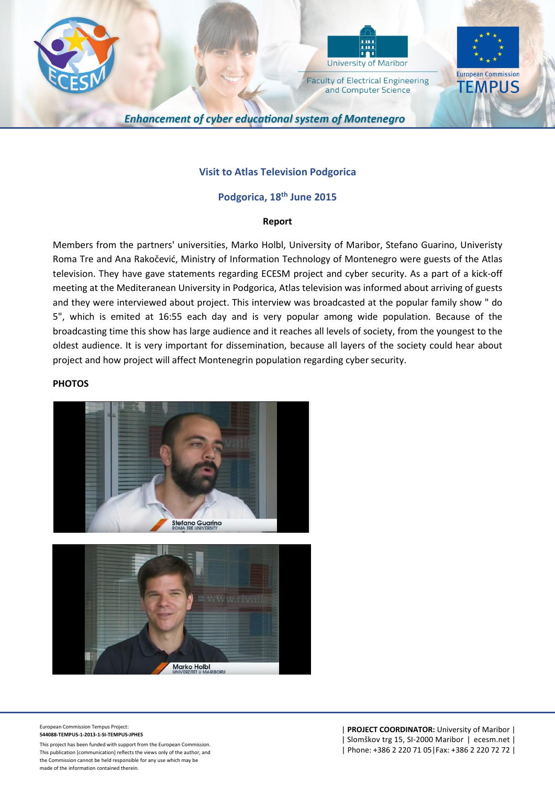



**Faculty of Electrical Engineering** and Computer Science



**Enhancement of cyber educational system of Montenegro** 

## **Visit to Atlas Television Podgorica**

## **Podgorica, 18th June 2015**

## **Report**

Members from the partners' universities, Marko Holbl, University of Maribor, Stefano Guarino, Univeristy Roma Tre and Ana Rakočević, Ministry of Information Technology of Montenegro were guests of the Atlas television. They have gave statements regarding ECESM project and cyber security. As a part of a kick-off meeting at the Mediteranean University in Podgorica, Atlas television was informed about arriving of guests and they were interviewed about project. This interview was broadcasted at the popular family show " do 5", which is emited at 16:55 each day and is very popular among wide population. Because of the broadcasting time this show has large audience and it reaches all levels of society, from the youngest to the oldest audience. It is very important for dissemination, because all layers of the society could hear about project and how project will affect Montenegrin population regarding cyber security.

## **PHOTOS**



European Commission Tempus Project: **544088-TEMPUS-1-2013-1-SI-TEMPUS-JPHES**

This project has been funded with support from the European Commission. This publication [communication] reflects the views only of the author, and the Commission cannot be held responsible for any use which may be made of the information contained therein.

| **PROJECT COORDINATOR:** University of Maribor | | Slomškov trg 15, SI-2000 Maribor | ecesm.net | | Phone: +386 2 220 71 05|Fax: +386 2 220 72 72 |